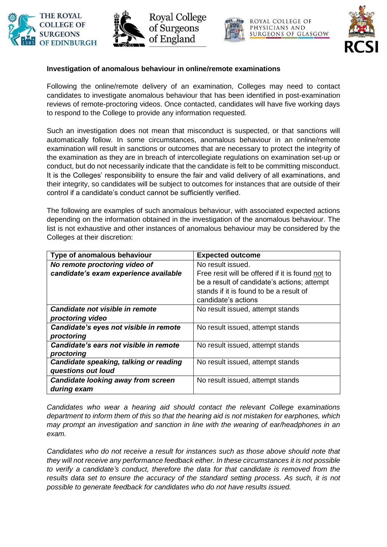







OYAL COLLEGE OF PHYSICIANS AND **SURGEONS OF GLASGOW** 



## **Investigation of anomalous behaviour in online/remote examinations**

Following the online/remote delivery of an examination, Colleges may need to contact candidates to investigate anomalous behaviour that has been identified in post-examination reviews of remote-proctoring videos. Once contacted, candidates will have five working days to respond to the College to provide any information requested.

Such an investigation does not mean that misconduct is suspected, or that sanctions will automatically follow. In some circumstances, anomalous behaviour in an online/remote examination will result in sanctions or outcomes that are necessary to protect the integrity of the examination as they are in breach of intercollegiate regulations on examination set-up or conduct, but do not necessarily indicate that the candidate is felt to be committing misconduct. It is the Colleges' responsibility to ensure the fair and valid delivery of all examinations, and their integrity, so candidates will be subject to outcomes for instances that are outside of their control if a candidate's conduct cannot be sufficiently verified.

The following are examples of such anomalous behaviour, with associated expected actions depending on the information obtained in the investigation of the anomalous behaviour. The list is not exhaustive and other instances of anomalous behaviour may be considered by the Colleges at their discretion:

| Type of anomalous behaviour            | <b>Expected outcome</b>                          |
|----------------------------------------|--------------------------------------------------|
| No remote proctoring video of          | No result issued.                                |
| candidate's exam experience available  | Free resit will be offered if it is found not to |
|                                        | be a result of candidate's actions; attempt      |
|                                        | stands if it is found to be a result of          |
|                                        | candidate's actions                              |
| Candidate not visible in remote        | No result issued, attempt stands                 |
| proctoring video                       |                                                  |
| Candidate's eyes not visible in remote | No result issued, attempt stands                 |
| proctoring                             |                                                  |
| Candidate's ears not visible in remote | No result issued, attempt stands                 |
| proctoring                             |                                                  |
| Candidate speaking, talking or reading | No result issued, attempt stands                 |
| questions out loud                     |                                                  |
| Candidate looking away from screen     | No result issued, attempt stands                 |
| during exam                            |                                                  |

*Candidates who wear a hearing aid should contact the relevant College examinations department to inform them of this so that the hearing aid is not mistaken for earphones, which may prompt an investigation and sanction in line with the wearing of ear/headphones in an exam.*

*Candidates who do not receive a result for instances such as those above should note that they will not receive any performance feedback either. In these circumstances it is not possible to verify a candidate's conduct, therefore the data for that candidate is removed from the results data set to ensure the accuracy of the standard setting process. As such, it is not possible to generate feedback for candidates who do not have results issued.*